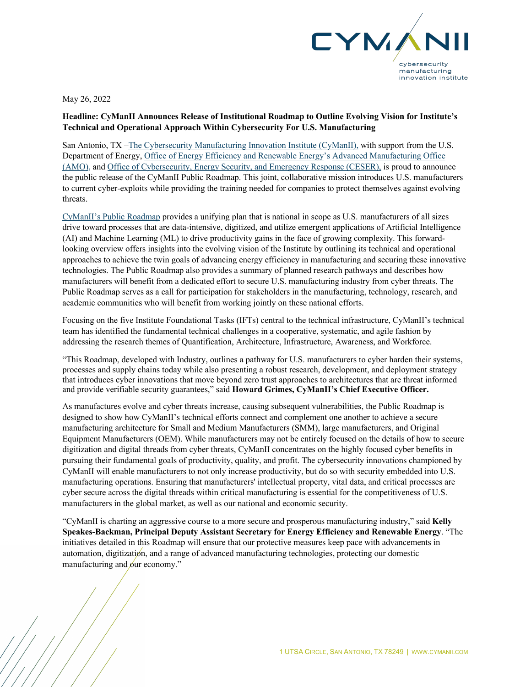

May 26, 2022

## **Headline: CyManII Announces Release of Institutional Roadmap to Outline Evolving Vision for Institute's Technical and Operational Approach Within Cybersecurity For U.S. Manufacturing**

San Antonio, TX –The Cybersecurity Manufacturing Innovation Institute (CyManII), with support from the U.S. Department of Energy, Office of Energy Efficiency and Renewable Energy's Advanced Manufacturing Office (AMO), and Office of Cybersecurity, Energy Security, and Emergency Response (CESER), is proud to announce the public release of the CyManII Public Roadmap. This joint, collaborative mission introduces U.S. manufacturers to current cyber-exploits while providing the training needed for companies to protect themselves against evolving threats.

CyManII's Public Roadmap provides a unifying plan that is national in scope as U.S. manufacturers of all sizes drive toward processes that are data-intensive, digitized, and utilize emergent applications of Artificial Intelligence (AI) and Machine Learning (ML) to drive productivity gains in the face of growing complexity. This forwardlooking overview offers insights into the evolving vision of the Institute by outlining its technical and operational approaches to achieve the twin goals of advancing energy efficiency in manufacturing and securing these innovative technologies. The Public Roadmap also provides a summary of planned research pathways and describes how manufacturers will benefit from a dedicated effort to secure U.S. manufacturing industry from cyber threats. The Public Roadmap serves as a call for participation for stakeholders in the manufacturing, technology, research, and academic communities who will benefit from working jointly on these national efforts.

Focusing on the five Institute Foundational Tasks (IFTs) central to the technical infrastructure, CyManII's technical team has identified the fundamental technical challenges in a cooperative, systematic, and agile fashion by addressing the research themes of Quantification, Architecture, Infrastructure, Awareness, and Workforce.

"This Roadmap, developed with Industry, outlines a pathway for U.S. manufacturers to cyber harden their systems, processes and supply chains today while also presenting a robust research, development, and deployment strategy that introduces cyber innovations that move beyond zero trust approaches to architectures that are threat informed and provide verifiable security guarantees," said **Howard Grimes, CyManII's Chief Executive Officer.** 

As manufactures evolve and cyber threats increase, causing subsequent vulnerabilities, the Public Roadmap is designed to show how CyManII's technical efforts connect and complement one another to achieve a secure manufacturing architecture for Small and Medium Manufacturers (SMM), large manufacturers, and Original Equipment Manufacturers (OEM). While manufacturers may not be entirely focused on the details of how to secure digitization and digital threads from cyber threats, CyManII concentrates on the highly focused cyber benefits in pursuing their fundamental goals of productivity, quality, and profit. The cybersecurity innovations championed by CyManII will enable manufacturers to not only increase productivity, but do so with security embedded into U.S. manufacturing operations. Ensuring that manufacturers' intellectual property, vital data, and critical processes are cyber secure across the digital threads within critical manufacturing is essential for the competitiveness of U.S. manufacturers in the global market, as well as our national and economic security.

"CyManII is charting an aggressive course to a more secure and prosperous manufacturing industry," said **Kelly Speakes-Backman, Principal Deputy Assistant Secretary for Energy Efficiency and Renewable Energy**. "The initiatives detailed in this Roadmap will ensure that our protective measures keep pace with advancements in automation, digitization, and a range of advanced manufacturing technologies, protecting our domestic manufacturing and  $\sin$  economy."